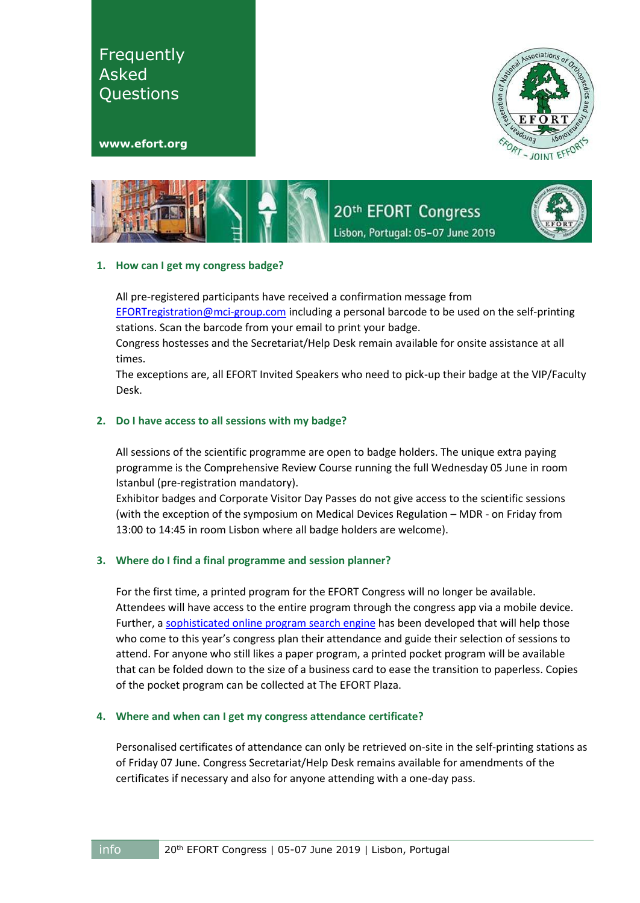Associations EFFOR





20th EFORT Congress Lisbon, Portugal: 05-07 June 2019



# **1. How can I get my congress badge?**

All pre-registered participants have received a confirmation message from [EFORTregistration@mci-group.com](mailto:EFORTregistration@mci-group.com) including a personal barcode to be used on the self-printing stations. Scan the barcode from your email to print your badge.

Congress hostesses and the Secretariat/Help Desk remain available for onsite assistance at all times.

The exceptions are, all EFORT Invited Speakers who need to pick-up their badge at the VIP/Faculty Desk.

# **2. Do I have access to all sessions with my badge?**

All sessions of the scientific programme are open to badge holders. The unique extra paying programme is the Comprehensive Review Course running the full Wednesday 05 June in room Istanbul (pre-registration mandatory).

Exhibitor badges and Corporate Visitor Day Passes do not give access to the scientific sessions (with the exception of the symposium on Medical Devices Regulation – MDR - on Friday from 13:00 to 14:45 in room Lisbon where all badge holders are welcome).

# **3. Where do I find a final programme and session planner?**

For the first time, a printed program for the EFORT Congress will no longer be available. Attendees will have access to the entire program through the congress app via a mobile device. Further, [a sophisticated online program search engine](https://congress.efort.org/advanced-scientific-programme) has been developed that will help those who come to this year's congress plan their attendance and guide their selection of sessions to attend. For anyone who still likes a paper program, a printed pocket program will be available that can be folded down to the size of a business card to ease the transition to paperless. Copies of the pocket program can be collected at The EFORT Plaza.

# **4. Where and when can I get my congress attendance certificate?**

Personalised certificates of attendance can only be retrieved on-site in the self-printing stations as of Friday 07 June. Congress Secretariat/Help Desk remains available for amendments of the certificates if necessary and also for anyone attending with a one-day pass.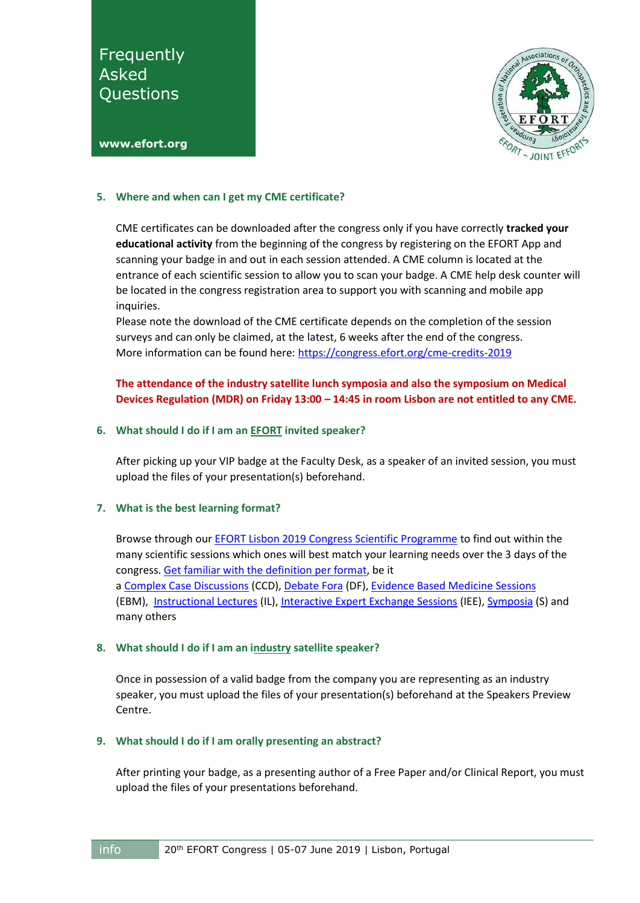

#### **[www.efort.org](http://www.efort.org/)**

### **5. Where and when can I get my CME certificate?**

CME certificates can be downloaded after the congress only if you have correctly **tracked your educational activity** from the beginning of the congress by registering on the EFORT App and scanning your badge in and out in each session attended. A CME column is located at the entrance of each scientific session to allow you to scan your badge. A CME help desk counter will be located in the congress registration area to support you with scanning and mobile app inquiries.

Please note the download of the CME certificate depends on the completion of the session surveys and can only be claimed, at the latest, 6 weeks after the end of the congress. More information can be found here[: https://congress.efort.org/cme-credits-2019](https://congress.efort.org/cme-credits-2019)

# **The attendance of the industry satellite lunch symposia and also the symposium on Medical Devices Regulation (MDR) on Friday 13:00 – 14:45 in room Lisbon are not entitled to any CME.**

### **6. What should I do if I am an EFORT invited speaker?**

After picking up your VIP badge at the Faculty Desk, as a speaker of an invited session, you must upload the files of your presentation(s) beforehand.

# **7. What is the best learning format?**

Browse through our **EFORT Lisbon 2019 Congress Scientific Programme** to find out within the many scientific sessions which ones will best match your learning needs over the 3 days of the congress[. Get familiar with the definition per format,](https://congress.efort.org/scientific-sessions) be it a [Complex Case Discussions](https://congress.efort.org/complex-case-discussions) (CCD)[, Debate Fora](https://congress.efort.org/debate-fora) (DF)[, Evidence Based Medicine Sessions](https://congress.efort.org/evidence-based-medicine-sessions) (EBM), [Instructional Lectures](https://congress.efort.org/instructional-lectures) (IL)[, Interactive Expert Exchange Sessions](https://congress.efort.org/interactive-experts-exchange) (IEE), [Symposia](https://congress.efort.org/symposia) (S) and many others

### **8. What should I do if I am an industry satellite speaker?**

Once in possession of a valid badge from the company you are representing as an industry speaker, you must upload the files of your presentation(s) beforehand at the Speakers Preview Centre.

### **9. What should I do if I am orally presenting an abstract?**

After printing your badge, as a presenting author of a Free Paper and/or Clinical Report, you must upload the files of your presentations beforehand.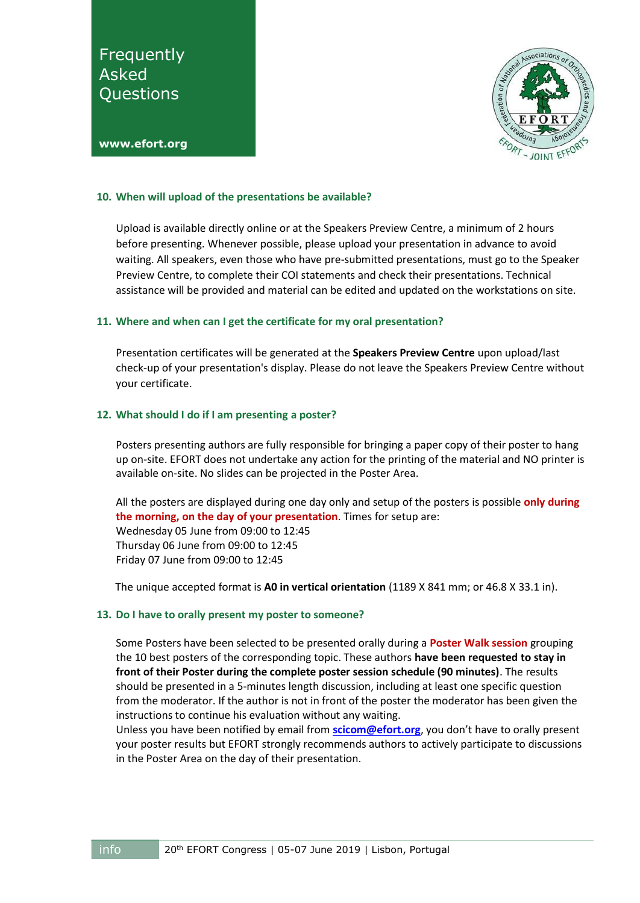

#### **[www.efort.org](http://www.efort.org/)**

### **10. When will upload of the presentations be available?**

Upload is available directly online or at the Speakers Preview Centre, a minimum of 2 hours before presenting. Whenever possible, please upload your presentation in advance to avoid waiting. All speakers, even those who have pre-submitted presentations, must go to the Speaker Preview Centre, to complete their COI statements and check their presentations. Technical assistance will be provided and material can be edited and updated on the workstations on site.

### **11. Where and when can I get the certificate for my oral presentation?**

Presentation certificates will be generated at the **Speakers Preview Centre** upon upload/last check-up of your presentation's display. Please do not leave the Speakers Preview Centre without your certificate.

### **12. What should I do if I am presenting a poster?**

Posters presenting authors are fully responsible for bringing a paper copy of their poster to hang up on-site. EFORT does not undertake any action for the printing of the material and NO printer is available on-site. No slides can be projected in the Poster Area.

All the posters are displayed during one day only and setup of the posters is possible **only during the morning, on the day of your presentation**. Times for setup are: Wednesday 05 June from 09:00 to 12:45 Thursday 06 June from 09:00 to 12:45 Friday 07 June from 09:00 to 12:45

The unique accepted format is **A0 in vertical orientation** (1189 X 841 mm; or 46.8 X 33.1 in).

### **13. Do I have to orally present my poster to someone?**

Some Posters have been selected to be presented orally during a **Poster Walk session** grouping the 10 best posters of the corresponding topic. These authors **have been requested to stay in front of their Poster during the complete poster session schedule (90 minutes)**. The results should be presented in a 5-minutes length discussion, including at least one specific question from the moderator. If the author is not in front of the poster the moderator has been given the instructions to continue his evaluation without any waiting.

Unless you have been notified by email from **[scicom@efort.org](mailto:scicom@efort.org)**, you don't have to orally present your poster results but EFORT strongly recommends authors to actively participate to discussions in the Poster Area on the day of their presentation.